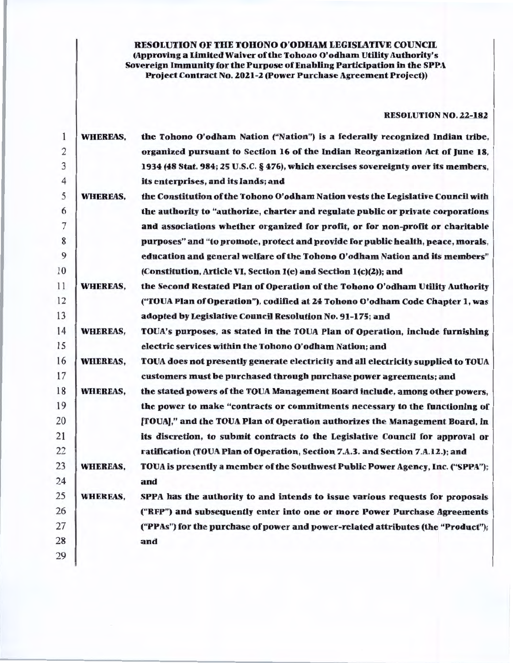RESOLUTION OF THE TOHONO O'ODHAM LEGISLATIVE COUNCIL (Approving a Limited Waiver of the Tohono O'odham Utillty Authority's Sovereign Immunity for the Purpose of Enabling Participation in the SPPA Project Contract No. 2021-2 (Power Purchase Agreement Project))

# RESOLUTION NO. 22-182

| 1  | <b>WHEREAS,</b> | the Tohono O'odham Nation ("Nation") is a federally recognized Indian tribe,        |
|----|-----------------|-------------------------------------------------------------------------------------|
| 2  |                 | organized pursuant to Section 16 of the Indian Reorganization Act of June 18,       |
| 3  |                 | 1934 (48 Stat. 984; 25 U.S.C. § 476), which exercises sovereignty over its members, |
| 4  |                 | its enterprises, and its lands; and                                                 |
| 5  | <b>WHEREAS,</b> | the Constitution of the Tohono O'odham Nation vests the Legislative Council with    |
| 6  |                 | the authority to "authorize, charter and regulate public or private corporations    |
| 7  |                 | and associations whether organized for profit, or for non-profit or charitable      |
| 8  |                 | purposes" and "to promote, protect and provide for public health, peace, morals,    |
| 9  |                 | education and general welfare of the Tohono O'odham Nation and its members"         |
| 10 |                 | (Constitution, Article VI, Section 1(e) and Section 1(c)(2)); and                   |
| 11 | <b>WHEREAS,</b> | the Second Restated Plan of Operation of the Tohono O'odham Utility Authority       |
| 12 |                 | ("TOUA Plan of Operation"), codified at 24 Tohono O'odham Code Chapter 1, was       |
| 13 |                 | adopted by Legislative Council Resolution No. 91-175; and                           |
| 14 | <b>WHEREAS,</b> | TOUA's purposes, as stated in the TOUA Plan of Operation, include furnishing        |
| 15 |                 | electric services within the Tohono O'odham Nation; and                             |
| 16 | <b>WHEREAS,</b> | TOUA does not presently generate electricity and all electricity supplied to TOUA   |
| 17 |                 | customers must be purchased through purchase power agreements; and                  |
| 18 | <b>WHEREAS,</b> | the stated powers of the TOUA Management Board include, among other powers,         |
| 19 |                 | the power to make "contracts or commitments necessary to the functioning of         |
| 20 |                 | [TOUA]," and the TOUA Plan of Operation authorizes the Management Board, in         |
| 21 |                 | its discretion, to submit contracts to the Legislative Council for approval or      |
| 22 |                 | ratification (TOUA Plan of Operation, Section 7.A.3. and Section 7.A.12.); and      |
| 23 | <b>WHEREAS,</b> | TOUA is presently a member of the Southwest Public Power Agency, Inc. ("SPPA");     |
| 24 |                 | and                                                                                 |
| 25 | <b>WHEREAS,</b> | SPPA has the authority to and intends to issue various requests for proposals       |
| 26 |                 | ("RFP") and subsequently enter into one or more Power Purchase Agreements           |
| 27 |                 | ("PPAs") for the purchase of power and power-related attributes (the "Product");    |
| 28 |                 | and                                                                                 |
| 29 |                 |                                                                                     |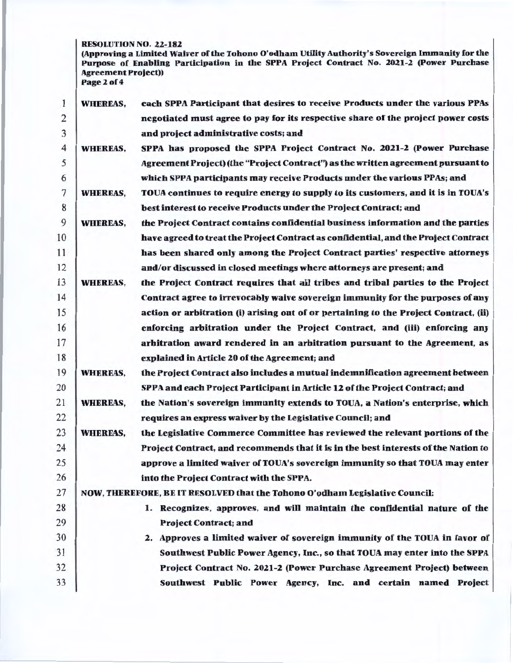RESOLUTION NO. 22-182

(Approving a Limited Waiver of the Tohono O'odham Utility Authority's Sovereign Immunity for the Purpose of Enabling Participation in the SPPA Project Contract No. 2021-2 (Power Purchase Agreement Project)) Page 2 of 4

1 2 3 4 5 6 7 8 9 10 11 12 13 14 15 16 17 18 19 20 21 22 23 WHEREAS, WHEREAS, WHEREAS, WHEREAS, WHEREAS, WHEREAS, WHEREAS, WHEREAS, each SPPA Participant that desires to receive Products under the various PPAs negotiated must agree to pay for its respective share of the project power costs and project administrative costs; and SPPA has proposed the SPPA Project Contract No. 2021-2 (Power Purchase Agreement Project) (the "Project Contract") as the written agreement pursuant to which SPPA participants may receive Products under the various PPAs; and TOUA continues to require energy to supply to its customers, and it is in TOUA's best interest to receive Products under the Project Contract; and the Project Contract contains confidential business information and the parties have agreed to treat the Project Contract as confidential, and the Project Contract has been shared only among the Project Contract parties' respective attorneys and/or discussed in closed meetings where attorneys are present; and the Project Contract requires that ail tribes and tribal parties to the Project Contract agree to irrevocably waive sovereign immunity for the purposes of any action or arbitration (i) arising out of or pertaining to the Project Contract, (ii) enforcing arbitration under the Project Contract, and (iii) enforcing any arbitration award rendered in an arbitration pursuant to the Agreement, as explained in Article 20 of the Agreement; and the Project Contract also includes a mutual indemnification agreement between SPPA and each Project Participant in Article 12 of the Project Contract; and the Nation's sovereign immunity extends to TOUA, a Nation's enterprise, which requires an express waiver by the Legislative Council; and the Legislative Commerce Committee has reviewed the relevant portions of the 24 Project Contract. and recommends that it is in the best interests of the Nation to 25 **approve a limited waiver of TOUA's sovereign immunity so that TOUA may enter** 26 into the Project Contract with the SPPA. 27 NOW, THEREFORE, BE IT RESOLVED that the Tohono O'odham Legislative Council: 28 1. Recognizes, approves, and will maintain the confidential nature of the 29 Project Contract; and 30 2. Approves a limited waiver of sovereign immunity of the TOUA in favor of 31 Southwest Public Power Agency, Inc., so that TOUA may enter into the SPPA 32 Project Contract No. 2021-2 (Power Purchase Agreement Project) between 33 Southwest Public Power Agency, Inc. and certain named Project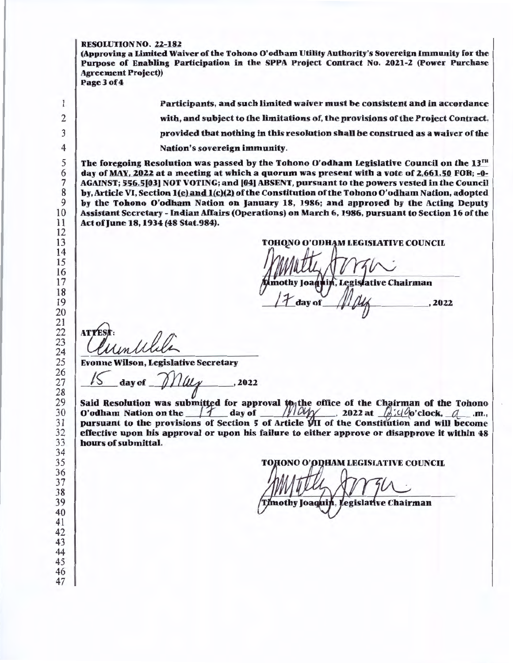#### RESOLUTION NO. 22-182

(Approving a Limited Waiver of the Tohono O'odham Utility Authority's Sovereign Immunity for the Purpose of Enabling Participation in the SPPA Project Contract No. 2021-2 (Power Purchase Agreement Project)) Page 3 of 4

1 Participants, and such limited waiver must be consistent and in accordance 2 with, and subject to the limitations of, the provisions of the Project Contract, 3 provided that nothing in this resolution shall be construed as a waiver of the 4 Nation's sovereign immunity. 5 The foregoing Resolution was passed by the Tohono O'odham Legislative Council on the  $13^{th}$ <br>6 day of MAY. 2022 at a meeting at which a quorum was present with a vote of 2.661.50 FOR: -0- $\begin{array}{c|c|c|c|c} \hline \text{day of MAX, 2022 at a meeting at which a quorum was present with a vote of 2,661.50 FOR; -0-} \ \text{AGAINST: 556.51031 NOT VOTING: and 1041 ABSENT. pursuit to the powers used in the Council.} \end{array}$ The AGAINST; 556.5[03] NOT VOTING; and [04] ABSENT, pursuant to the powers vested in the Council<br>8 by. Article VI. Section 1(e) and 1(c)(2) of the Constitution of the Tohono O'odham Nation, adopted  $8$  by, Article VI, Section 1(e) and 1(c)(2) of the Constitution of the Tohono O'odham Nation, adopted<br>by the Tohono O'odham Nation on January 18, 1986; and annroyed by the Acting Deputy  $\begin{array}{c|c} 9 & \text{by the Tohono O'odham Nation on January 18, 1986; and approved by the Acting Deputy  
10 Assistant Secretary - Indian Affairs (Operations) on March 6, 1986, pursuit to Section 16 of the$ 10 Assistant Secretary - Indian Affairs (Operations) on March 6, 1986, pursuant to Section 16 of the<br>11 Act of June 18, 1934 (48 Stat.984). Act of June 18, 1934 (48 Stat.984).  $\frac{12}{13}$ TOHONO O'ODHAM LEGISLATIVE COUNCIL 14 15 16 17 , Legislative Chairman nothy Joaq 18 19 2022 20 21 22 **ATTI** 23  $\frac{24}{25}$ 25 Evonne Wilson, Legislative Secretary  $\frac{27}{28}$  S day of  $\frac{1}{4}$ //44 .2022 29 Said Resolution was submitted for approval to the office of the Chairman of the Tohono O'odham Nation on the  $\frac{1}{1-\alpha}$  day of , 2022 at  $\frac{1}{1-\alpha}$  (0'clock,  $\frac{1}{1-\alpha}$  .m.,  $\frac{31}{32}$  pursuant to the provisions of Section 5 of Article VII of the Constitution and will become  $\frac{32}{32}$  $\frac{32}{13}$  effective upon his approval or upon his failure to either approve or disapprove it within 48 hours of submittal. hours of submittal. TOHONO O'ОDHAM LEGISLATIVE COUNCIL  $37 \frac{1}{1000}$  $\frac{3}{38}$  (3)  $\frac{1}{2}$ 39 version of the chairman of the chairman (Timothy Joaquin, Legislative Chairman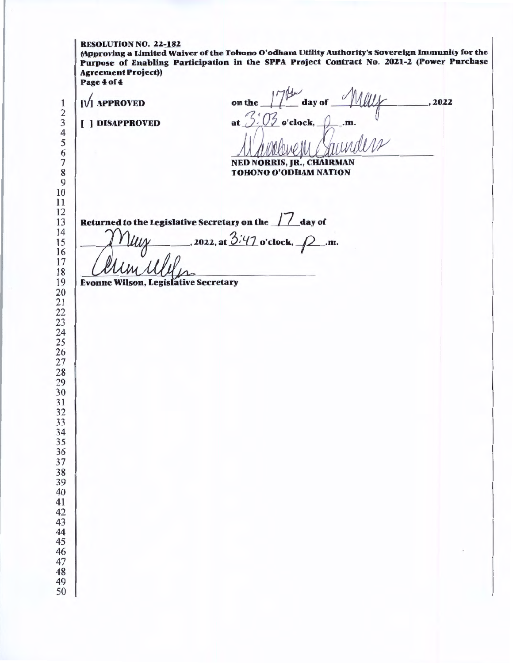| <b>Agreement Project))</b><br>Page 4 of 4<br>$[V]$ APPROVED | 2022                                                                                |
|-------------------------------------------------------------|-------------------------------------------------------------------------------------|
| [ ] DISAPPROVED                                             | on the 17th day of May<br><b>NED NORRIS, JR., CHAIRMAN</b><br>TOHONO O'ODHAM NATION |
|                                                             | Returned to the Legislative Secretary on the 11 day of                              |
|                                                             | . 2022, at $3.47$ o'clock, $\rho$ .m.                                               |
| <b>Evonne Wilson, Legislative Secretary</b>                 |                                                                                     |
|                                                             |                                                                                     |
|                                                             |                                                                                     |
|                                                             |                                                                                     |
|                                                             |                                                                                     |
|                                                             |                                                                                     |
|                                                             |                                                                                     |
|                                                             |                                                                                     |
|                                                             |                                                                                     |
|                                                             |                                                                                     |
|                                                             |                                                                                     |
|                                                             |                                                                                     |